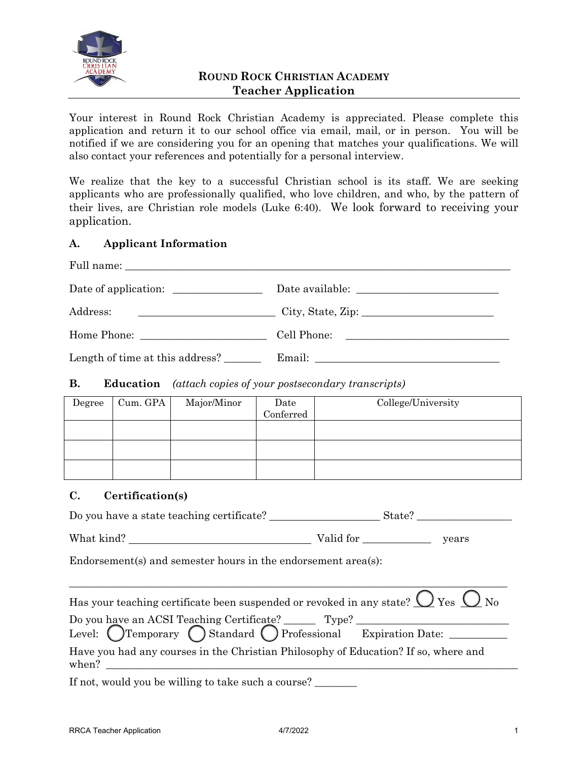

## **ROUND ROCK CHRISTIAN ACADEMY Teacher Application**

Your interest in Round Rock Christian Academy is appreciated. Please complete this application and return it to our school office via email, mail, or in person. You will be notified if we are considering you for an opening that matches your qualifications. We will also contact your references and potentially for a personal interview.

We realize that the key to a successful Christian school is its staff. We are seeking applicants who are professionally qualified, who love children, and who, by the pattern of their lives, are Christian role models (Luke 6:40). We look forward to receiving your application.

### **A. Applicant Information**

| Address:                        | $City$ , State, Zip: |
|---------------------------------|----------------------|
|                                 | Cell Phone:          |
| Length of time at this address? |                      |

#### **B. Education** *(attach copies of your postsecondary transcripts)*

| Degree | Cum. GPA | Major/Minor | Date<br>Conferred | College/University |
|--------|----------|-------------|-------------------|--------------------|
|        |          |             |                   |                    |
|        |          |             |                   |                    |
|        |          |             |                   |                    |

#### **C. Certification(s)**

| Do you have a state teaching certificate?                                                                                                                                                                                                                                                                                                                                                                                                                                                                                                                                                                                                                                                                                                                                             |  | State? |  |
|---------------------------------------------------------------------------------------------------------------------------------------------------------------------------------------------------------------------------------------------------------------------------------------------------------------------------------------------------------------------------------------------------------------------------------------------------------------------------------------------------------------------------------------------------------------------------------------------------------------------------------------------------------------------------------------------------------------------------------------------------------------------------------------|--|--------|--|
|                                                                                                                                                                                                                                                                                                                                                                                                                                                                                                                                                                                                                                                                                                                                                                                       |  | years  |  |
| Endorsement(s) and semester hours in the endorsement $area(s)$ :                                                                                                                                                                                                                                                                                                                                                                                                                                                                                                                                                                                                                                                                                                                      |  |        |  |
| Has your teaching certificate been suspended or revoked in any state? $\bigcirc$ Yes $\bigcirc$ No<br>Do you have an ACSI Teaching Certificate? Type? Type? Level: OTemporary OStandard OProfessional Expiration Date:<br>Have you had any courses in the Christian Philosophy of Education? If so, where and<br>when? $\frac{1}{\sqrt{1-\frac{1}{2}}\sqrt{1-\frac{1}{2}}\sqrt{1-\frac{1}{2}}\sqrt{1-\frac{1}{2}}\sqrt{1-\frac{1}{2}}\sqrt{1-\frac{1}{2}}\sqrt{1-\frac{1}{2}}\sqrt{1-\frac{1}{2}}\sqrt{1-\frac{1}{2}}\sqrt{1-\frac{1}{2}}\sqrt{1-\frac{1}{2}}\sqrt{1-\frac{1}{2}}\sqrt{1-\frac{1}{2}}\sqrt{1-\frac{1}{2}}\sqrt{1-\frac{1}{2}}\sqrt{1-\frac{1}{2}}\sqrt{1-\frac{1}{2}}\sqrt{1-\frac{1}{2}}\sqrt{1-\frac{1}{2}}$<br>If not, would you be willing to take such a course? |  |        |  |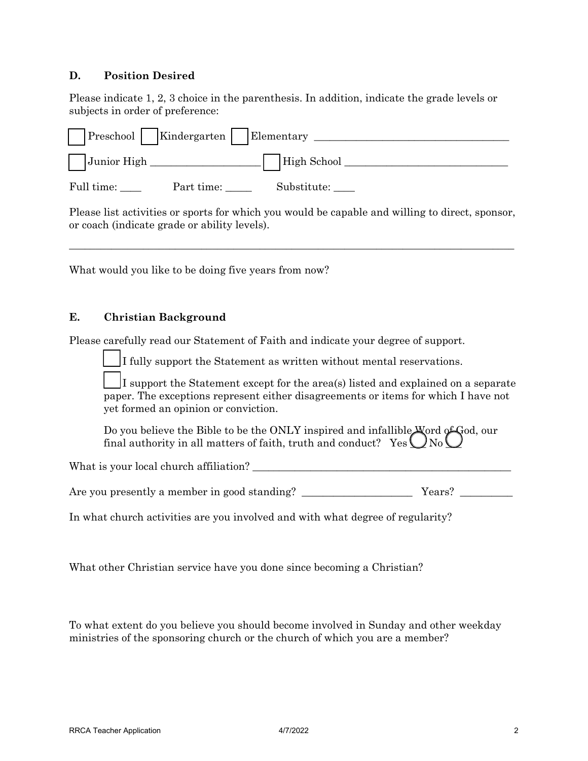#### **D. Position Desired**

Please indicate 1, 2, 3 choice in the parenthesis. In addition, indicate the grade levels or subjects in order of preference:

| Preschool     Kindergarten |            | Elementary  |
|----------------------------|------------|-------------|
| Junior High                |            | High School |
| Full time:                 | Part time: | Substitute: |

Please list activities or sports for which you would be capable and willing to direct, sponsor, or coach (indicate grade or ability levels).

\_\_\_\_\_\_\_\_\_\_\_\_\_\_\_\_\_\_\_\_\_\_\_\_\_\_\_\_\_\_\_\_\_\_\_\_\_\_\_\_\_\_\_\_\_\_\_\_\_\_\_\_\_\_\_\_\_\_\_\_\_\_\_\_\_\_\_\_\_\_\_\_\_\_\_\_\_\_\_\_\_\_\_\_

What would you like to be doing five years from now?

#### **E. Christian Background**

Please carefully read our Statement of Faith and indicate your degree of support.

If fully support the Statement as written without mental reservations.

I support the Statement except for the area(s) listed and explained on a separate paper. The exceptions represent either disagreements or items for which I have not yet formed an opinion or conviction.

Do you believe the Bible to be the ONLY inspired and infallible Word of God, our final authority in all matters of faith, truth and conduct?  $\;$  Yes  $\bigcup$  No  $\bigcup$ 

What is your local church affiliation? \_\_\_\_\_\_\_\_\_\_\_\_\_\_\_\_\_\_\_\_\_\_\_\_\_\_\_\_\_\_\_\_\_\_\_\_\_\_\_\_\_\_\_\_\_\_\_\_\_

Are you presently a member in good standing? \_\_\_\_\_\_\_\_\_\_\_\_\_\_\_\_\_\_\_\_\_ Years? \_\_\_\_\_\_\_\_\_\_

In what church activities are you involved and with what degree of regularity?

What other Christian service have you done since becoming a Christian?

To what extent do you believe you should become involved in Sunday and other weekday ministries of the sponsoring church or the church of which you are a member?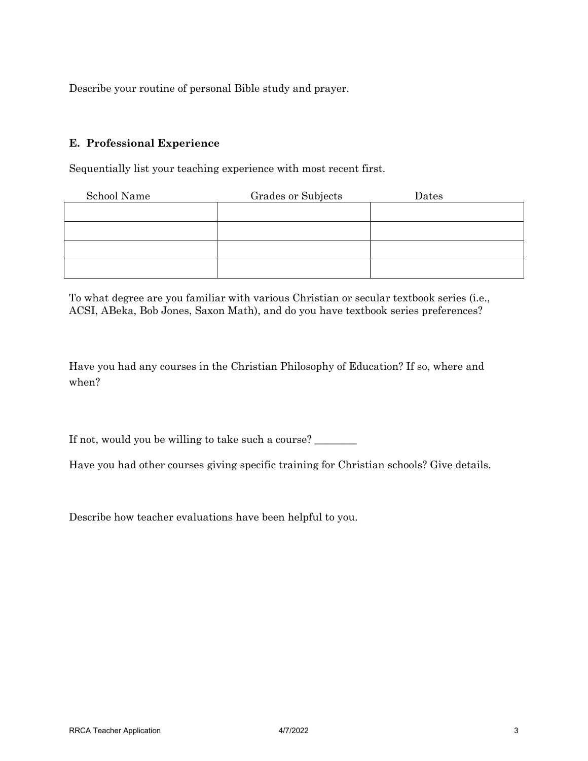Describe your routine of personal Bible study and prayer.

#### **E. Professional Experience**

Sequentially list your teaching experience with most recent first.

| School Name | Grades or Subjects | Dates |
|-------------|--------------------|-------|
|             |                    |       |
|             |                    |       |
|             |                    |       |
|             |                    |       |

To what degree are you familiar with various Christian or secular textbook series (i.e., ACSI, ABeka, Bob Jones, Saxon Math), and do you have textbook series preferences?

Have you had any courses in the Christian Philosophy of Education? If so, where and when?

If not, would you be willing to take such a course? \_\_\_\_\_\_\_

Have you had other courses giving specific training for Christian schools? Give details.

Describe how teacher evaluations have been helpful to you.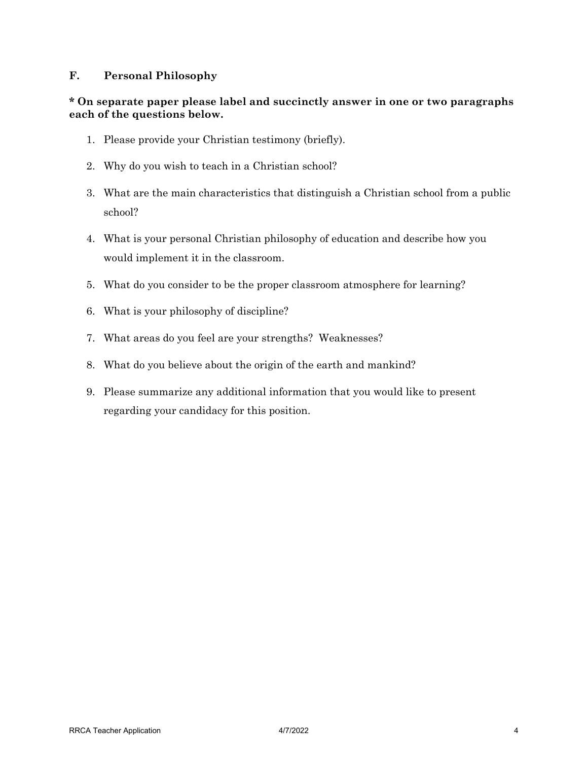#### **F. Personal Philosophy**

#### **\* On separate paper please label and succinctly answer in one or two paragraphs each of the questions below.**

- 1. Please provide your Christian testimony (briefly).
- 2. Why do you wish to teach in a Christian school?
- 3. What are the main characteristics that distinguish a Christian school from a public school?
- 4. What is your personal Christian philosophy of education and describe how you would implement it in the classroom.
- 5. What do you consider to be the proper classroom atmosphere for learning?
- 6. What is your philosophy of discipline?
- 7. What areas do you feel are your strengths? Weaknesses?
- 8. What do you believe about the origin of the earth and mankind?
- 9. Please summarize any additional information that you would like to present regarding your candidacy for this position.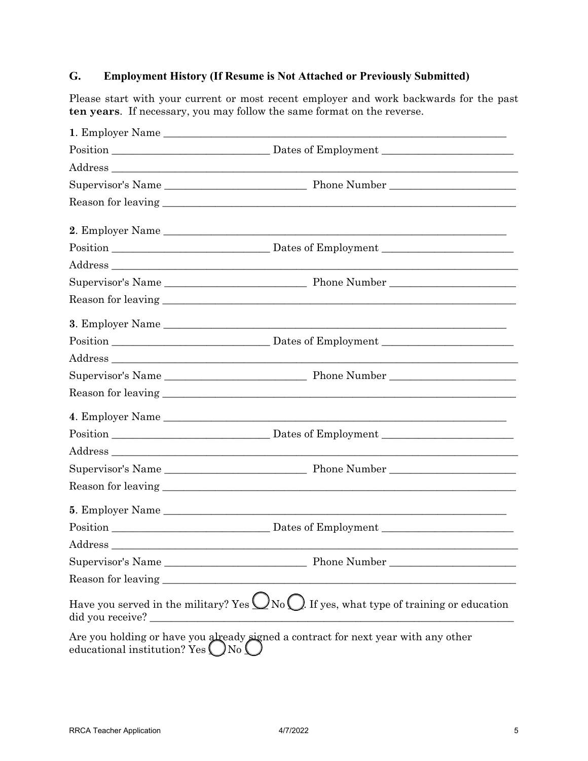# **G. Employment History (If Resume is Not Attached or Previously Submitted)**

Please start with your current or most recent employer and work backwards for the past **ten years**. If necessary, you may follow the same format on the reverse.

|                              | 1. Employer Name                                                                                          |
|------------------------------|-----------------------------------------------------------------------------------------------------------|
|                              |                                                                                                           |
|                              |                                                                                                           |
|                              |                                                                                                           |
|                              |                                                                                                           |
|                              |                                                                                                           |
|                              |                                                                                                           |
|                              |                                                                                                           |
|                              |                                                                                                           |
|                              |                                                                                                           |
|                              |                                                                                                           |
|                              |                                                                                                           |
|                              |                                                                                                           |
|                              |                                                                                                           |
|                              |                                                                                                           |
|                              |                                                                                                           |
|                              |                                                                                                           |
|                              |                                                                                                           |
|                              |                                                                                                           |
|                              |                                                                                                           |
|                              |                                                                                                           |
|                              |                                                                                                           |
|                              |                                                                                                           |
|                              | Phone Number_<br>Supervisor's Name                                                                        |
| Reason for leaving           |                                                                                                           |
| did you receive? _           | Have you served in the military? Yes $\bigcup$ No $\bigcirc$ . If yes, what type of training or education |
| educational institution? Yes | Are you holding or have you already signed a contract for next year with any other<br>$\log$              |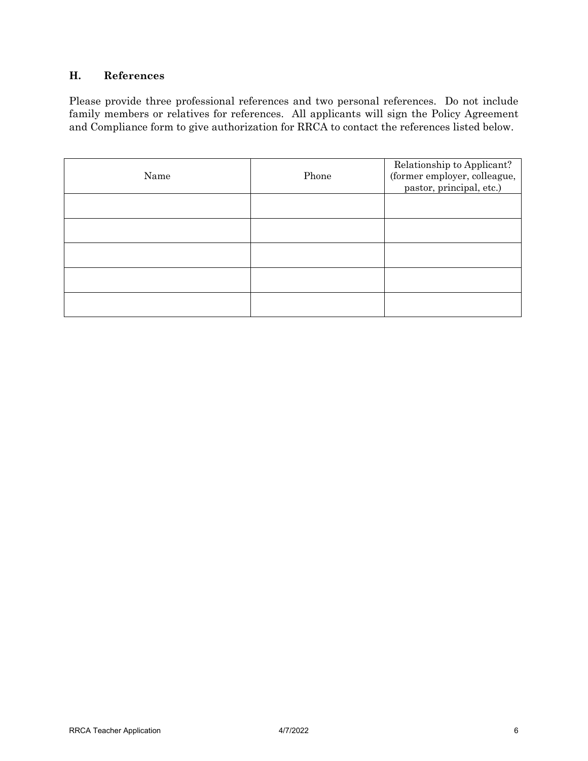## **H. References**

Please provide three professional references and two personal references. Do not include family members or relatives for references. All applicants will sign the Policy Agreement and Compliance form to give authorization for RRCA to contact the references listed below.

| Name | Phone | Relationship to Applicant?<br>(former employer, colleague,<br>pastor, principal, etc.) |
|------|-------|----------------------------------------------------------------------------------------|
|      |       |                                                                                        |
|      |       |                                                                                        |
|      |       |                                                                                        |
|      |       |                                                                                        |
|      |       |                                                                                        |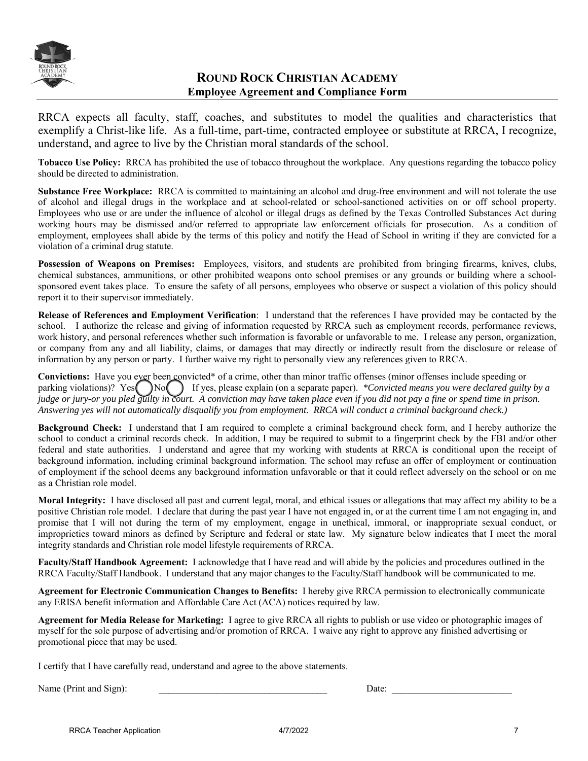

## **ROUND ROCK CHRISTIAN ACADEMY Employee Agreement and Compliance Form**

RRCA expects all faculty, staff, coaches, and substitutes to model the qualities and characteristics that exemplify a Christ-like life. As a full-time, part-time, contracted employee or substitute at RRCA, I recognize, understand, and agree to live by the Christian moral standards of the school.

**Tobacco Use Policy:** RRCA has prohibited the use of tobacco throughout the workplace. Any questions regarding the tobacco policy should be directed to administration.

**Substance Free Workplace:** RRCA is committed to maintaining an alcohol and drug-free environment and will not tolerate the use of alcohol and illegal drugs in the workplace and at school-related or school-sanctioned activities on or off school property. Employees who use or are under the influence of alcohol or illegal drugs as defined by the Texas Controlled Substances Act during working hours may be dismissed and/or referred to appropriate law enforcement officials for prosecution. As a condition of employment, employees shall abide by the terms of this policy and notify the Head of School in writing if they are convicted for a violation of a criminal drug statute.

**Possession of Weapons on Premises:** Employees, visitors, and students are prohibited from bringing firearms, knives, clubs, chemical substances, ammunitions, or other prohibited weapons onto school premises or any grounds or building where a schoolsponsored event takes place. To ensure the safety of all persons, employees who observe or suspect a violation of this policy should report it to their supervisor immediately.

**Release of References and Employment Verification**: I understand that the references I have provided may be contacted by the school. I authorize the release and giving of information requested by RRCA such as employment records, performance reviews, work history, and personal references whether such information is favorable or unfavorable to me. I release any person, organization, or company from any and all liability, claims, or damages that may directly or indirectly result from the disclosure or release of information by any person or party. I further waive my right to personally view any references given to RRCA.

**Convictions:** Have you ever been convicted\* of a crime, other than minor traffic offenses (minor offenses include speeding or parking violations)? Yes  $\Box$  No  $\Box$  If yes, please explain (on a separate paper). *\*Convicted means you were declared guilty by a judge or jury-or you pled guilty in court. A conviction may have taken place even if you did not pay a fine or spend time in prison. Answering yes will not automatically disqualify you from employment. RRCA will conduct a criminal background check.)* 

**Background Check:** I understand that I am required to complete a criminal background check form, and I hereby authorize the school to conduct a criminal records check. In addition, I may be required to submit to a fingerprint check by the FBI and/or other federal and state authorities. I understand and agree that my working with students at RRCA is conditional upon the receipt of background information, including criminal background information. The school may refuse an offer of employment or continuation of employment if the school deems any background information unfavorable or that it could reflect adversely on the school or on me as a Christian role model.

**Moral Integrity:** I have disclosed all past and current legal, moral, and ethical issues or allegations that may affect my ability to be a positive Christian role model. I declare that during the past year I have not engaged in, or at the current time I am not engaging in, and promise that I will not during the term of my employment, engage in unethical, immoral, or inappropriate sexual conduct, or improprieties toward minors as defined by Scripture and federal or state law. My signature below indicates that I meet the moral integrity standards and Christian role model lifestyle requirements of RRCA.

**Faculty/Staff Handbook Agreement:** I acknowledge that I have read and will abide by the policies and procedures outlined in the RRCA Faculty/Staff Handbook. I understand that any major changes to the Faculty/Staff handbook will be communicated to me.

**Agreement for Electronic Communication Changes to Benefits:** I hereby give RRCA permission to electronically communicate any ERISA benefit information and Affordable Care Act (ACA) notices required by law.

**Agreement for Media Release for Marketing:** I agree to give RRCA all rights to publish or use video or photographic images of myself for the sole purpose of advertising and/or promotion of RRCA. I waive any right to approve any finished advertising or promotional piece that may be used.

I certify that I have carefully read, understand and agree to the above statements.

Name (Print and Sign): \_\_\_\_\_\_\_\_\_\_\_\_\_\_\_\_\_\_\_\_\_\_\_\_\_\_\_\_\_\_\_\_\_\_\_ Date: \_\_\_\_\_\_\_\_\_\_\_\_\_\_\_\_\_\_\_\_\_\_\_\_\_